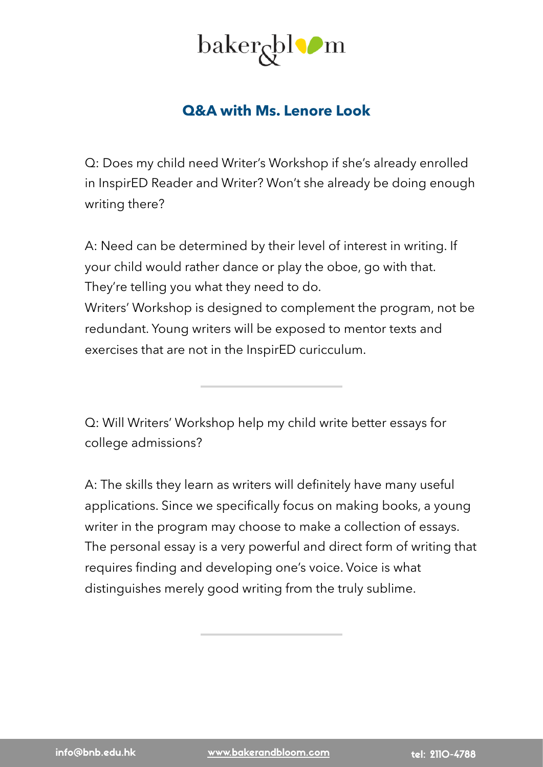

## **Q&A with Ms. Lenore Look**

Q: Does my child need Writer's Workshop if she's already enrolled in InspirED Reader and Writer? Won't she already be doing enough writing there?

A: Need can be determined by their level of interest in writing. If your child would rather dance or play the oboe, go with that. They're telling you what they need to do. Writers' Workshop is designed to complement the program, not be redundant. Young writers will be exposed to mentor texts and exercises that are not in the InspirED curicculum.

Q: Will Writers' Workshop help my child write better essays for college admissions?

A: The skills they learn as writers will definitely have many useful applications. Since we specifically focus on making books, a young writer in the program may choose to make a collection of essays. The personal essay is a very powerful and direct form of writing that requires finding and developing one's voice. Voice is what distinguishes merely good writing from the truly sublime.